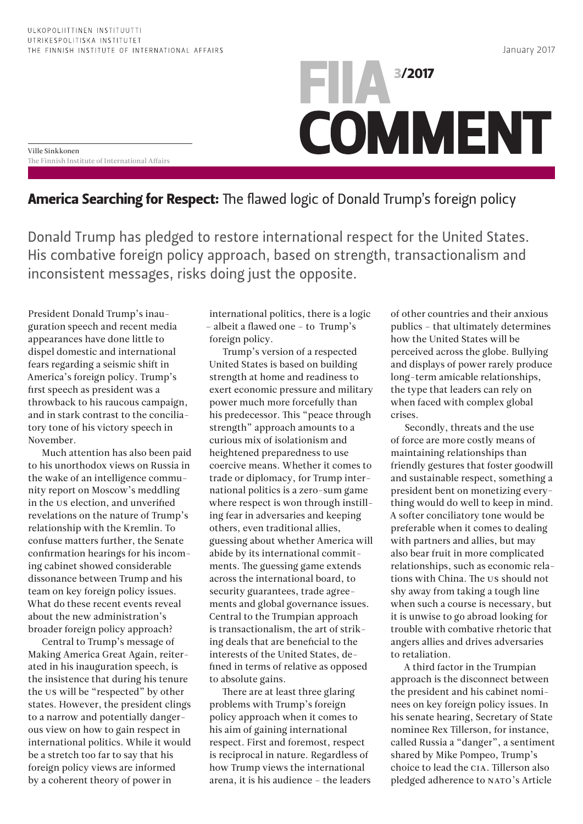Ville Sinkkonen

The Finnish Institute of International Affairs

## 3/2017 FIIA **COMMENT**

## America Searching for Respect: The flawed logic of Donald Trump's foreign policy

Donald Trump has pledged to restore international respect for the United States. His combative foreign policy approach, based on strength, transactionalism and inconsistent messages, risks doing just the opposite.

President Donald Trump's inauguration speech and recent media appearances have done little to dispel domestic and international fears regarding a seismic shift in America's foreign policy. Trump's first speech as president was a throwback to his raucous campaign, and in stark contrast to the conciliatory tone of his victory speech in November.

Much attention has also been paid to his unorthodox views on Russia in the wake of an intelligence community report on Moscow's meddling in the US election, and unverified revelations on the nature of Trump's relationship with the Kremlin. To confuse matters further, the Senate confirmation hearings for his incoming cabinet showed considerable dissonance between Trump and his team on key foreign policy issues. What do these recent events reveal about the new administration's broader foreign policy approach?

Central to Trump's message of Making America Great Again, reiterated in his inauguration speech, is the insistence that during his tenure the US will be "respected" by other states. However, the president clings to a narrow and potentially dangerous view on how to gain respect in international politics. While it would be a stretch too far to say that his foreign policy views are informed by a coherent theory of power in

international politics, there is a logic – albeit a flawed one – to Trump's foreign policy.

Trump's version of a respected United States is based on building strength at home and readiness to exert economic pressure and military power much more forcefully than his predecessor. This "peace through strength" approach amounts to a curious mix of isolationism and heightened preparedness to use coercive means. Whether it comes to trade or diplomacy, for Trump international politics is a zero-sum game where respect is won through instilling fear in adversaries and keeping others, even traditional allies, guessing about whether America will abide by its international commitments. The guessing game extends across the international board, to security guarantees, trade agreements and global governance issues. Central to the Trumpian approach is transactionalism, the art of striking deals that are beneficial to the interests of the United States, defined in terms of relative as opposed to absolute gains.

There are at least three glaring problems with Trump's foreign policy approach when it comes to his aim of gaining international respect. First and foremost, respect is reciprocal in nature. Regardless of how Trump views the international arena, it is his audience – the leaders of other countries and their anxious publics – that ultimately determines how the United States will be perceived across the globe. Bullying and displays of power rarely produce long-term amicable relationships, the type that leaders can rely on when faced with complex global crises.

Secondly, threats and the use of force are more costly means of maintaining relationships than friendly gestures that foster goodwill and sustainable respect, something a president bent on monetizing everything would do well to keep in mind. A softer conciliatory tone would be preferable when it comes to dealing with partners and allies, but may also bear fruit in more complicated relationships, such as economic relations with China. The US should not shy away from taking a tough line when such a course is necessary, but it is unwise to go abroad looking for trouble with combative rhetoric that angers allies and drives adversaries to retaliation.

A third factor in the Trumpian approach is the disconnect between the president and his cabinet nominees on key foreign policy issues. In his senate hearing, Secretary of State nominee Rex Tillerson, for instance, called Russia a "danger", a sentiment shared by Mike Pompeo, Trump's choice to lead the CIA. Tillerson also pledged adherence to NATO's Article